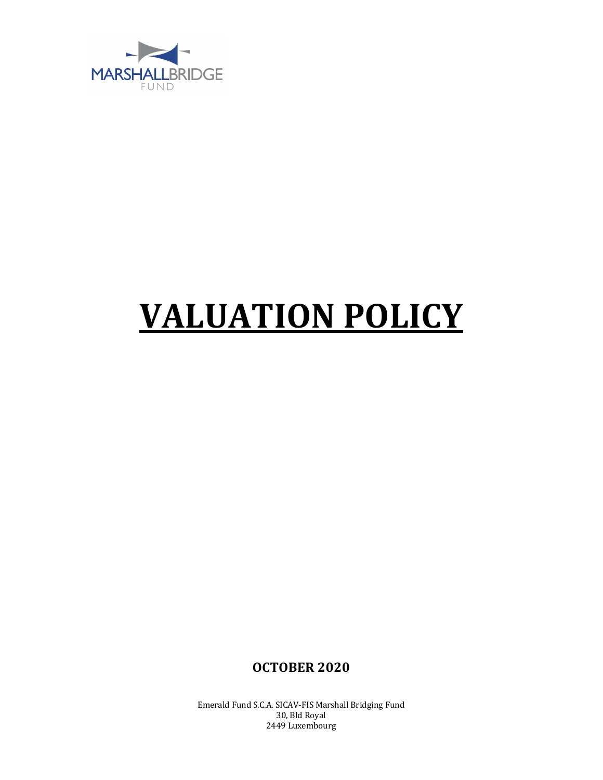

## **VALUATION POLICY**

**OCTOBER 2020**

Emerald Fund S.C.A. SICAV-FIS Marshall Bridging Fund 30, Bld Royal 2449 Luxembourg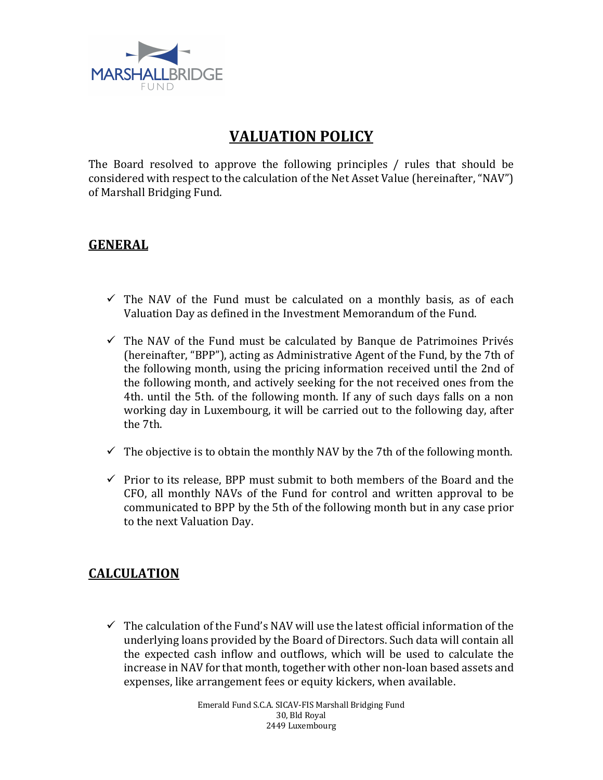

## **VALUATION POLICY**

The Board resolved to approve the following principles  $/$  rules that should be considered with respect to the calculation of the Net Asset Value (hereinafter, "NAV") of Marshall Bridging Fund.

## **GENERAL**

- $\checkmark$  The NAV of the Fund must be calculated on a monthly basis, as of each Valuation Day as defined in the Investment Memorandum of the Fund.
- $\checkmark$  The NAV of the Fund must be calculated by Banque de Patrimoines Privés (hereinafter, "BPP"), acting as Administrative Agent of the Fund, by the 7th of the following month, using the pricing information received until the 2nd of the following month, and actively seeking for the not received ones from the 4th. until the 5th. of the following month. If any of such days falls on a non working day in Luxembourg, it will be carried out to the following day, after the 7th.
- $\checkmark$  The objective is to obtain the monthly NAV by the 7th of the following month.
- $\checkmark$  Prior to its release, BPP must submit to both members of the Board and the CFO, all monthly NAVs of the Fund for control and written approval to be communicated to BPP by the 5th of the following month but in any case prior to the next Valuation Day.

## **CALCULATION**

 $\checkmark$  The calculation of the Fund's NAV will use the latest official information of the underlying loans provided by the Board of Directors. Such data will contain all the expected cash inflow and outflows, which will be used to calculate the increase in NAV for that month, together with other non-loan based assets and expenses, like arrangement fees or equity kickers, when available.

> Emerald Fund S.C.A. SICAV-FIS Marshall Bridging Fund 30, Bld Royal 2449 Luxembourg